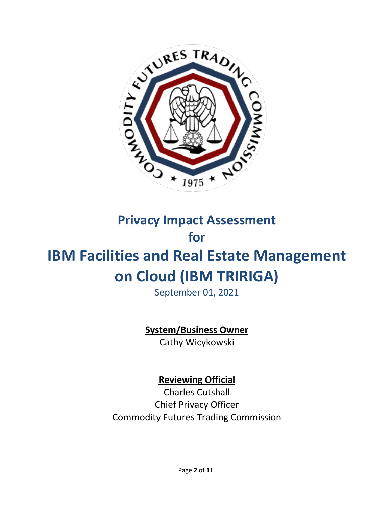

# **Privacy Impact Assessment for**

# **IBM Facilities and Real Estate Management on Cloud (IBM TRIRIGA)**

September 01, 2021

## **System/Business Owner**

Cathy Wicykowski

## **Reviewing Official**

Charles Cutshall Chief Privacy Officer Commodity Futures Trading Commission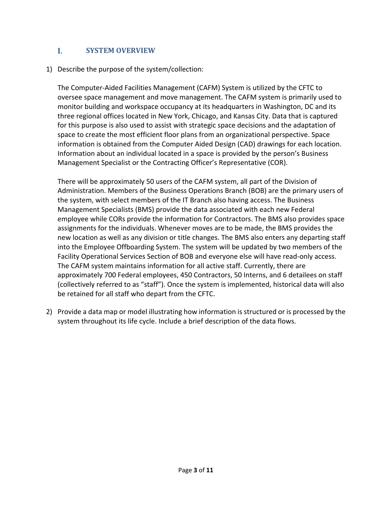#### L  **SYSTEM OVERVIEW**

1) Describe the purpose of the system/collection:

The Computer-Aided Facilities Management (CAFM) System is utilized by the CFTC to oversee space management and move management. The CAFM system is primarily used to monitor building and workspace occupancy at its headquarters in Washington, DC and its three regional offices located in New York, Chicago, and Kansas City. Data that is captured for this purpose is also used to assist with strategic space decisions and the adaptation of space to create the most efficient floor plans from an organizational perspective. Space information is obtained from the Computer Aided Design (CAD) drawings for each location. Information about an individual located in a space is provided by the person's Business Management Specialist or the Contracting Officer's Representative (COR).

There will be approximately 50 users of the CAFM system, all part of the Division of Administration. Members of the Business Operations Branch (BOB) are the primary users of the system, with select members of the IT Branch also having access. The Business Management Specialists (BMS) provide the data associated with each new Federal employee while CORs provide the information for Contractors. The BMS also provides space assignments for the individuals. Whenever moves are to be made, the BMS provides the new location as well as any division or title changes. The BMS also enters any departing staff into the Employee Offboarding System. The system will be updated by two members of the Facility Operational Services Section of BOB and everyone else will have read-only access. The CAFM system maintains information for all active staff. Currently, there are approximately 700 Federal employees, 450 Contractors, 50 Interns, and 6 detailees on staff (collectively referred to as "staff"). Once the system is implemented, historical data will also be retained for all staff who depart from the CFTC.

2) Provide a data map or model illustrating how information is structured or is processed by the system throughout its life cycle. Include a brief description of the data flows.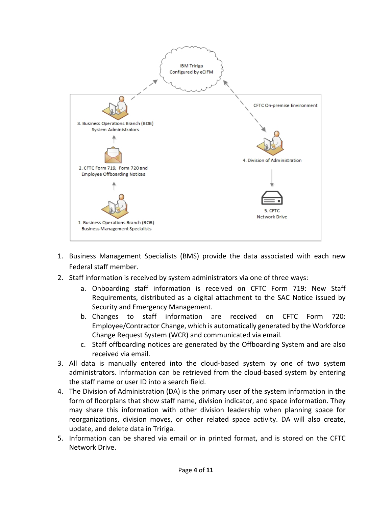

- 1. Business Management Specialists (BMS) provide the data associated with each new Federal staff member.
- 2. Staff information is received by system administrators via one of three ways:
	- a. Onboarding staff information is received on CFTC Form 719: New Staff Requirements, distributed as a digital attachment to the SAC Notice issued by Security and Emergency Management.
	- b. Changes to staff information are received on CFTC Form 720: Employee/Contractor Change, which is automatically generated by the Workforce Change Request System (WCR) and communicated via email.
	- c. Staff offboarding notices are generated by the Offboarding System and are also received via email.
- 3. All data is manually entered into the cloud-based system by one of two system administrators. Information can be retrieved from the cloud-based system by entering the staff name or user ID into a search field.
- 4. The Division of Administration (DA) is the primary user of the system information in the form of floorplans that show staff name, division indicator, and space information. They may share this information with other division leadership when planning space for reorganizations, division moves, or other related space activity. DA will also create, update, and delete data in Tririga.
- 5. Information can be shared via email or in printed format, and is stored on the CFTC Network Drive.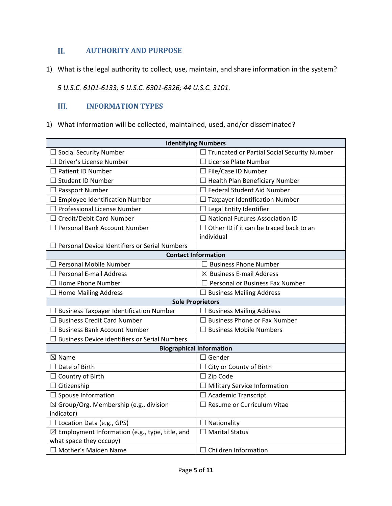#### П.  **AUTHORITY AND PURPOSE**

1) Wha t is the legal authority to collect, use, maintain, and share information in the system?

*5 U.S.C. 6101-6133; 5 U.S.C. 6301-6326; 44 U.S.C. 3101.*

#### III. **INFORMATION TYPES**

1) What information will be collected, maintained, used, and/or disseminated?

| <b>Identifying Numbers</b>                                 |                                                    |  |  |
|------------------------------------------------------------|----------------------------------------------------|--|--|
| $\Box$ Social Security Number                              | $\Box$ Truncated or Partial Social Security Number |  |  |
| $\Box$ Driver's License Number                             | $\Box$ License Plate Number                        |  |  |
| $\Box$ Patient ID Number                                   | □ File/Case ID Number                              |  |  |
| <b>Student ID Number</b>                                   | $\Box$ Health Plan Beneficiary Number              |  |  |
| $\Box$ Passport Number                                     | $\Box$ Federal Student Aid Number                  |  |  |
| $\Box$ Employee Identification Number                      | $\Box$ Taxpayer Identification Number              |  |  |
| $\Box$ Professional License Number                         | $\Box$ Legal Entity Identifier                     |  |  |
| $\Box$ Credit/Debit Card Number                            | $\Box$ National Futures Association ID             |  |  |
| □ Personal Bank Account Number                             | $\Box$ Other ID if it can be traced back to an     |  |  |
|                                                            | individual                                         |  |  |
| $\Box$ Personal Device Identifiers or Serial Numbers       |                                                    |  |  |
| <b>Contact Information</b>                                 |                                                    |  |  |
| $\Box$ Personal Mobile Number                              | $\Box$ Business Phone Number                       |  |  |
| $\Box$ Personal E-mail Address                             | $\boxtimes$ Business E-mail Address                |  |  |
| $\Box$ Home Phone Number                                   | $\Box$ Personal or Business Fax Number             |  |  |
| $\Box$ Home Mailing Address                                | $\Box$ Business Mailing Address                    |  |  |
| <b>Sole Proprietors</b>                                    |                                                    |  |  |
| $\Box$ Business Taxpayer Identification Number             | $\Box$ Business Mailing Address                    |  |  |
| $\Box$ Business Credit Card Number                         | $\Box$ Business Phone or Fax Number                |  |  |
| <b>Business Bank Account Number</b>                        | <b>Business Mobile Numbers</b>                     |  |  |
| <b>Business Device identifiers or Serial Numbers</b>       |                                                    |  |  |
|                                                            | <b>Biographical Information</b>                    |  |  |
| $\boxtimes$ Name                                           | $\Box$ Gender                                      |  |  |
| $\Box$ Date of Birth                                       | $\Box$ City or County of Birth                     |  |  |
| $\Box$ Country of Birth                                    | $\Box$ Zip Code                                    |  |  |
| $\Box$ Citizenship                                         | $\Box$ Military Service Information                |  |  |
| $\Box$ Spouse Information                                  | $\Box$ Academic Transcript                         |  |  |
| $\boxtimes$ Group/Org. Membership (e.g., division          | $\Box$ Resume or Curriculum Vitae                  |  |  |
| indicator)                                                 |                                                    |  |  |
| $\Box$ Location Data (e.g., GPS)                           | $\Box$ Nationality                                 |  |  |
| $\boxtimes$ Employment Information (e.g., type, title, and | $\Box$ Marital Status                              |  |  |
| what space they occupy)                                    |                                                    |  |  |
| □ Mother's Maiden Name                                     | $\Box$ Children Information                        |  |  |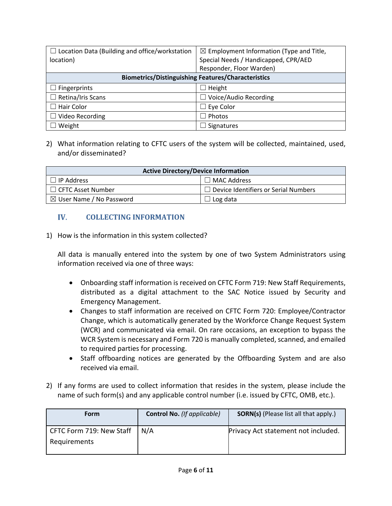| $\Box$ Location Data (Building and office/workstation     | $\boxtimes$ Employment Information (Type and Title, |  |
|-----------------------------------------------------------|-----------------------------------------------------|--|
| location)                                                 | Special Needs / Handicapped, CPR/AED                |  |
|                                                           | Responder, Floor Warden)                            |  |
| <b>Biometrics/Distinguishing Features/Characteristics</b> |                                                     |  |
| $\Box$ Fingerprints                                       | Height                                              |  |
| $\Box$ Retina/Iris Scans                                  | Voice/Audio Recording                               |  |
| $\Box$ Hair Color                                         | Eye Color                                           |  |
| $\Box$ Video Recording                                    | Photos                                              |  |
| Weight                                                    | Signatures                                          |  |

### 2) What information relating to CFTC users of the system will be collected, maintained, used, and/or disseminated?

| <b>Active Directory/Device Information</b> |                                             |  |  |
|--------------------------------------------|---------------------------------------------|--|--|
| l IP Address                               | l MAC Address                               |  |  |
| $\Box$ CFTC Asset Number                   | $\Box$ Device Identifiers or Serial Numbers |  |  |
| $\boxtimes$ User Name / No Password        | Log data                                    |  |  |

### **COLLECTING INFORMATION**

1) How is the information in this system collected?

All data is manually entered into the system by one of two System Administrators using information received via one of three ways:

- Onboarding staff information is received on CFTC Form 719: New Staff Requirements, distributed as a digital attachment to the SAC Notice issued by Security and Emergency Management.
- Changes to staff information are received on CFTC Form 720: Employee/Contractor Change, which is automatically generated by the Workforce Change Request System (WCR) and communicated via email. On rare occasions, an exception to bypass the WCR System is necessary and Form 720 is manually completed, scanned, and emailed to required parties for processing.
- Staff offboarding notices are generated by the Offboarding System and are also received via email.
- 2) If any forms are used to collect information that resides in the system, please include the name of such form(s) and any applicable control number (i.e. issued by CFTC, OMB, etc.).

| <b>Form</b>              | <b>Control No.</b> (If applicable) | <b>SORN(s)</b> (Please list all that apply.) |
|--------------------------|------------------------------------|----------------------------------------------|
| CFTC Form 719: New Staff | N/A                                | Privacy Act statement not included.          |
| Requirements             |                                    |                                              |
|                          |                                    |                                              |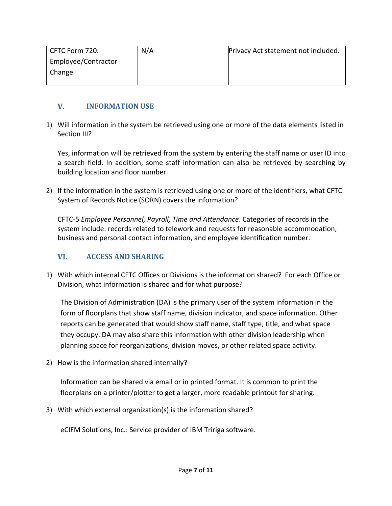| CFTC Form 720:      | N/A | Privacy Act statement not included. |
|---------------------|-----|-------------------------------------|
| Employee/Contractor |     |                                     |
| Change              |     |                                     |
|                     |     |                                     |

#### $V_{\cdot}$ **INFORMATION USE**

1) Will information in the system be retrieved using one or more of the data elements listed in Section III?

Yes, information will be retrieved from the system by entering the staff name or user ID into a search field. In addition, some staff information can also be retrieved by searching by building location and floor number.

2) If the information in the system is retrieved using one or more of the identifiers, what CFTC System of Records Notice (SORN) covers the information?

CFTC-5 *Employee Personnel, Payroll, Time and Attendance*. Categories of records in the system include: records related to telework and requests for reasonable accommodation, business and personal contact information, and employee identification number.

#### VI. **ACCESS AND SHARING**

1) With which internal CFTC Offices or Divisions is the information shared? For each Office or Division, what information is shared and for what purpose?

The Division of Administration (DA) is the primary user of the system information in the form of floorplans that show staff name, division indicator, and space information. Other reports can be generated that would show staff name, staff type, title, and what space they occupy. DA may also share this information with other division leadership when planning space for reorganizations, division moves, or other related space activity.

2) How is the information shared internally?

Information can be shared via email or in printed format. It is common to print the floorplans on a printer/plotter to get a larger, more readable printout for sharing.

3) With which external organization(s) is the information shared?

eCIFM Solutions, Inc.: Service provider of IBM Tririga software.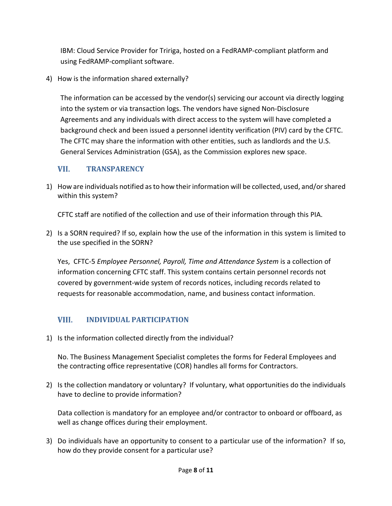IBM: Cloud Service Provider for Tririga, hosted on a FedRAMP-compliant platform and using FedRAMP-compliant software.

4) How is the information shared externally?

The information can be accessed by the vendor(s) servicing our account via directly logging into the system or via transaction logs. The vendors have signed Non-Disclosure Agreements and any individuals with direct access to the system will have completed a background check and been issued a personnel identity verification (PIV) card by the CFTC. The CFTC may share the information with other entities, such as landlords and the U.S. General Services Administration (GSA), as the Commission explores new space.

#### VII. **TRANSPARENCY**

1) How are individuals notified as to how their information will be collected, used, and/or shared within this system?

CFTC staff are notified of the collection and use of their information through this PIA.

2) Is a SORN required? If so, explain how the use of the information in this system is limited to the use specified in the SORN?

Yes, CFTC-5 *Employee Personnel, Payroll, Time and Attendance System* is a collection of information concerning CFTC staff. This system contains certain personnel records not covered by government-wide system of records notices, including records related to requests for reasonable accommodation, name, and business contact information.

#### VIII. **INDIVIDUAL PARTICIPATION**

1) Is the information collected directly from the individual?

No. The Business Management Specialist completes the forms for Federal Employees and the contracting office representative (COR) handles all forms for Contractors.

2) Is the collection mandatory or voluntary? If voluntary, what opportunities do the individuals have to decline to provide information?

Data collection is mandatory for an employee and/or contractor to onboard or offboard, as well as change offices during their employment.

3) Do individuals have an opportunity to consent to a particular use of the information? If so, how do they provide consent for a particular use?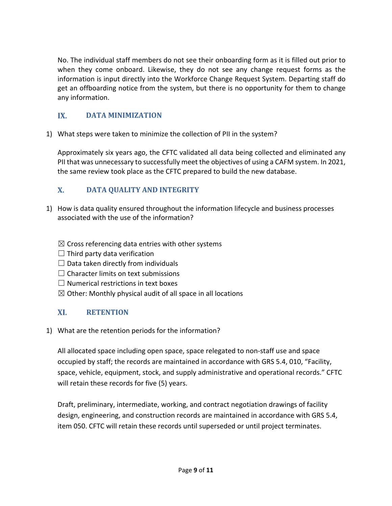No. The individual staff members do not see their onboarding form as it is filled out prior to when they come onboard. Likewise, they do not see any change request forms as the information is input directly into the Workforce Change Request System. Departing staff do get an offboarding notice from the system, but there is no opportunity for them to change any information.

#### IX.  **DATA MINIMIZATION**

1) What steps were taken to minimize the collection of PII in the system?

Approximately six years ago, the CFTC validated all data being collected and eliminated any PII that was unnecessary to successfully meet the objectives of using a CAFM system. In 2021, the same review took place as the CFTC prepared to build the new database.

#### $\mathbf{X}$ . **DATA QUALITY AND INTEGRITY**

- 1) How is data quality ensured throughout the information lifecycle and business processes associated with the use of the information?
	- $\boxtimes$  Cross referencing data entries with other systems
	- $\Box$  Third party data verification
	- $\Box$  Data taken directly from individuals
	- $\Box$  Character limits on text submissions
	- $\Box$  Numerical restrictions in text boxes
	- $\boxtimes$  Other: Monthly physical audit of all space in all locations

#### XI. **RETENTION**

1) What are the retention periods for the information?

All allocated space including open space, space relegated to non-staff use and space occupied by staff; the records are maintained in accordance with GRS 5.4, 010, "Facility, space, vehicle, equipment, stock, and supply administrative and operational records." CFTC will retain these records for five (5) years.

Draft, preliminary, intermediate, working, and contract negotiation drawings of facility design, engineering, and construction records are maintained in accordance with GRS 5.4, item 050. CFTC will retain these records until superseded or until project terminates.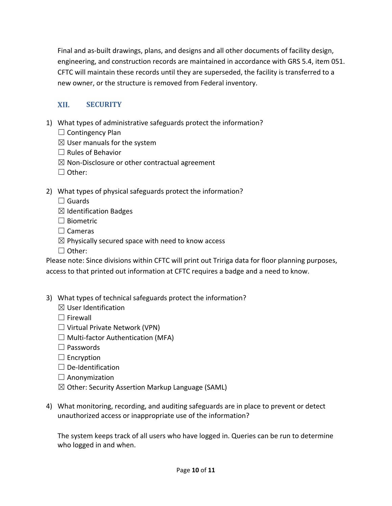Final and as-built drawings, plans, and designs and all other documents of facility design, engineering, and construction records are maintained in accordance with GRS 5.4, item 051. CFTC will maintain these records until they are superseded, the facility is transferred to a new owner, or the structure is removed from Federal inventory.

#### XII. **SECURITY**

- 1) What types of administrative safeguards protect the information?
	- $\Box$  Contingency Plan
	- $\boxtimes$  User manuals for the system
	- $\Box$  Rules of Behavior
	- $\boxtimes$  Non-Disclosure or other contractual agreement
	- ☐ Other:
- 2) What types of physical safeguards protect the information?
	- $\Box$  Guards
	- $\boxtimes$  Identification Badges
	- □ Biometric
	- □ Cameras
	- $\boxtimes$  Physically secured space with need to know access
	- ☐ Other:

Please note: Since divisions within CFTC will print out Tririga data for floor planning purposes, access to that printed out information at CFTC requires a badge and a need to know.

- 3) What types of technical safeguards protect the information?
	- $\boxtimes$  User Identification
	- □ Firewall
	- $\Box$  Virtual Private Network (VPN)
	- $\Box$  Multi-factor Authentication (MFA)
	- ☐ Passwords
	- $\Box$  Encryption
	- $\Box$  De-Identification
	- $\Box$  Anonymization
	- $\boxtimes$  Other: Security Assertion Markup Language (SAML)
- 4) What monitoring, recording, and auditing safeguards are in place to prevent or detect unauthorized access or inappropriate use of the information?

The system keeps track of all users who have logged in. Queries can be run to determine who logged in and when.